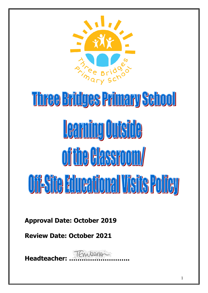

# Three Bridges Primary School Learning Outside of the Hassroom/ **Oii: Site Educational Visite Policy**

**Approval Date: October 2019**

**Review Date: October 2021**

**Headteacher: ………………………..**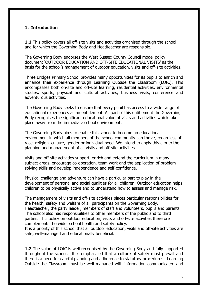## **1. Introduction**

**1.1** This policy covers all off-site visits and activities organised through the school and for which the Governing Body and Headteacher are responsible.

The Governing Body endorses the West Sussex County Council model policy document 'OUTDOOR EDUCATION AND OFF-SITE EDUCATIONAL VISITS' as the basis for the school's management of outdoor education, visits and off-site activities.

Three Bridges Primary School provides many opportunities for its pupils to enrich and enhance their experience through Learning Outside the Classroom (LOtC). This encompasses both on-site and off-site learning, residential activities, environmental studies, sports, physical and cultural activities, business visits, conference and adventurous activities.

The Governing Body seeks to ensure that every pupil has access to a wide range of educational experiences as an entitlement. As part of this entitlement the Governing Body recognises the significant educational value of visits and activities which take place away from the immediate school environment.

The Governing Body aims to enable this school to become an educational environment in which all members of the school community can thrive, regardless of race, religion, culture, gender or individual need. We intend to apply this aim to the planning and management of all visits and off-site activities.

Visits and off-site activities support, enrich and extend the curriculum in many subject areas, encourage co-operation, team work and the application of problem solving skills and develop independence and self-confidence.

Physical challenge and adventure can have a particular part to play in the development of personal and social qualities for all children. Outdoor education helps children to be physically active and to understand how to assess and manage risk.

The management of visits and off-site activities places particular responsibilities for the health, safety and welfare of all participants on the Governing Body, Headteacher, the party leader, members of staff and volunteers, pupils and parents. The school also has responsibilities to other members of the public and to third parties. This policy on outdoor education, visits and off-site activities therefore complements the wider school health and safety policy.

It is a priority of this school that all outdoor education, visits and off-site activities are safe, well-managed and educationally beneficial.

**1.2** The value of LOtC is well recognised by the Governing Body and fully supported throughout the school. It is emphasised that a culture of safety must prevail and there is a need for careful planning and adherence to statutory procedures. Learning Outside the Classroom must be well managed with information communicated and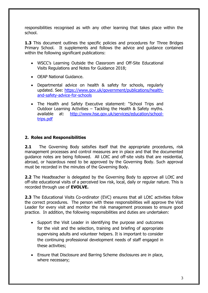responsibilities recognised as with any other learning that takes place within the school.

**1.3** This document outlines the specific policies and procedures for Three Bridges Primary School. It supplements and follows the advice and guidance contained within the following significant publications:

- WSCC's Learning Outside the Classroom and Off-Site Educational Visits Regulations and Notes for Guidance 2018;
- OEAP National Guidance.
- Departmental advice on health & safety for schools, regularly updated. See: [https://www.gov.uk/government/publications/health](https://www.gov.uk/government/publications/health-and-safety-advice-for-schools)[and-safety-advice-for-schools](https://www.gov.uk/government/publications/health-and-safety-advice-for-schools)
- The Health and Safety Executive statement: "School Trips and Outdoor Learning Activities – Tackling the Health & Safety myths. available at: [http://www.hse.gov.uk/services/education/school](http://www.hse.gov.uk/services/education/school-trips.pdf)[trips.pdf](http://www.hse.gov.uk/services/education/school-trips.pdf)

## **2. Roles and Responsibilities**

**2.1** The Governing Body satisfies itself that the appropriate procedures, risk management processes and control measures are in place and that the documented guidance notes are being followed. All LOtC and off-site visits that are residential, abroad, or hazardous need to be approved by the Governing Body. Such approval must be recorded in the minutes of the Governing Body.

**2.2** The Headteacher is delegated by the Governing Body to approve all LOtC and off-site educational visits of a perceived low risk, local, daily or regular nature. This is recorded through use of **EVOLVE.**

**2.3** The Educational Visits Co-ordinator (EVC) ensures that all LOtC activities follow the correct procedures. The person with these responsibilities will approve the Visit Leader for every visit and monitor the risk management processes to ensure good practice. In addition, the following responsibilities and duties are undertaken:

- Support the Visit Leader in identifying the purpose and outcomes for the visit and the selection, training and briefing of appropriate supervising adults and volunteer helpers. It is important to consider the continuing professional development needs of staff engaged in these activities;
- Ensure that Disclosure and Barring Scheme disclosures are in place, where necessary;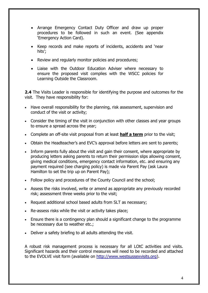- Arrange Emergency Contact Duty Officer and draw up proper procedures to be followed in such an event. (See appendix 'Emergency Action Card).
- Keep records and make reports of incidents, accidents and 'near hits';
- Review and regularly monitor policies and procedures;
- Liaise with the Outdoor Education Adviser where necessary to ensure the proposed visit complies with the WSCC policies for Learning Outside the Classroom.

**2.4** The Visits Leader is responsible for identifying the purpose and outcomes for the visit. They have responsibility for:

- Have overall responsibility for the planning, risk assessment, supervision and conduct of the visit or activity;
- Consider the timing of the visit in conjunction with other classes and year groups to ensure a spread across the year;
- Complete an off-site visit proposal from at least **half a term** prior to the visit;
- Obtain the Headteacher's and EVC's approval before letters are sent to parents;
- Inform parents fully about the visit and gain their consent, where appropriate by producing letters asking parents to return their permission slips allowing consent, giving medical conditions, emergency contact information, etc. and ensuring any payment required (see charging policy) is made via Parent Pay (ask Laura Hamilton to set the trip up on Parent Pay);
- Follow policy and procedures of the County Council and the school;
- Assess the risks involved, write or amend as appropriate any previously recorded risk; assessment three weeks prior to the visit;
- Request additional school based adults from SLT as necessary;
- Re-assess risks while the visit or activity takes place;
- Ensure there is a contingency plan should a significant change to the programme be necessary due to weather etc.;
- Deliver a safety briefing to all adults attending the visit.

A robust risk management process is necessary for all LOtC activities and visits. Significant hazards and their control measures will need to be recorded and attached to the EVOLVE visit form (available on [http://www.westsussexvisits.org\)](http://www.westsussexvisits.org/).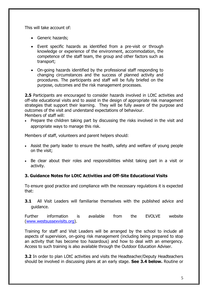This will take account of:

- Generic hazards:
- Event specific hazards as identified from a pre-visit or through knowledge or experience of the environment, accommodation, the competence of the staff team, the group and other factors such as transport;
- On-going hazards identified by the professional staff responding to changing circumstances and the success of planned activity and procedures. The participants and staff will be fully briefed on the purpose, outcomes and the risk management processes.

**2.5** Participants are encouraged to consider hazards involved in LOtC activities and off-site educational visits and to assist in the design of appropriate risk management strategies that support their learning. They will be fully aware of the purpose and outcomes of the visit and understand expectations of behaviour. Members of staff will:

• Prepare the children taking part by discussing the risks involved in the visit and appropriate ways to manage this risk.

Members of staff, volunteers and parent helpers should:

- Assist the party leader to ensure the health, safety and welfare of young people on the visit;
- Be clear about their roles and responsibilities whilst taking part in a visit or activity.

## **3. Guidance Notes for LOtC Activities and Off-Site Educational Visits**

To ensure good practice and compliance with the necessary regulations it is expected that:

**3.1** All Visit Leaders will familiarise themselves with the published advice and guidance.

Further information is available from the EVOLVE website [\(www.westsussexvisits.org\)](http://www.westsussexvisits.org/).

Training for staff and Visit Leaders will be arranged by the school to include all aspects of supervision, on-going risk management (including being prepared to stop an activity that has become too hazardous) and how to deal with an emergency. Access to such training is also available through the Outdoor Education Adviser.

**3.2** In order to plan LOtC activities and visits the Headteacher/Deputy Headteachers should be involved in discussing plans at an early stage. **See 3.4 below.** Routine or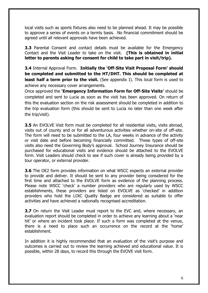local visits such as sports fixtures also need to be planned ahead. It may be possible to approve a series of events on a termly basis. No financial commitment should be agreed until all relevant approvals have been achieved.

**3.3** Parental Consent and contact details must be available for the Emergency Contact and the Visit Leader to take on the visit. **(This is obtained in initial letter to parents asking for consent for child to take part in visit/trip).**

**3.4** Internal Approval Form. **Initially the 'Off-Site Visit Proposal Form' should be completed and submitted to the HT/DHT. This should be completed at least half a term prior to the visit.** (See appendix I). This local form is used to achieve any necessary cover arrangements.

Once approved the **'Emergency Information Form for Off-Site Visits'** should be completed and sent to Lucia as soon as the visit has been approved. On return of this the evaluation section on the risk assessment should be completed in addition to the trip evaluation form (this should be sent to Lucia no later than one week after the trip/visit).

**3.5** An EVOLVE Visit form must be completed for all residential visits, visits abroad, visits out of county and or for all adventurous activities whether on-site of off-site. The form will need to be submitted to the LA, four weeks in advance of the activity or visit date and before becoming financially committed. These types of off-site visits also need the Governing Body's approval. School Journey Insurance should be purchased for educational visits and evidence should be attached to the EVOLVE form. Visit Leaders should check to see if such cover is already being provided by a tour operator, or external provider.

**3.6** The OE2 form provides information on what WSCC expects an external provider to provide and deliver. It should be sent to any provider being considered for the first time and attached to the EVOLVE form as evidence of the planning process. Please note WSCC 'check' a number providers who are regularly used by WSCC establishments, these providers are listed on EVOLVE as 'checked' in addition providers who hold the LOtC Quality Badge are considered as suitable to offer activities and have achieved a nationally recognised accreditation.

**3.7** On return the Visit Leader must report to the EVC and, where necessary, an evaluation report should be completed in order to achieve any learning about a 'near hit' or where an incident took place. If such a form was completed at the venue, there is a need to place such an occurrence on the record at the 'home' establishment.

In addition it is highly recommended that an evaluation of the visit's purpose and outcomes is carried out to review the learning achieved and educational value. It is possible, within 28 days, to record this through the EVOVE visit form.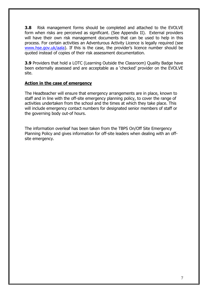**3.8** Risk management forms should be completed and attached to the EVOLVE form when risks are perceived as significant. (See Appendix II). External providers will have their own risk management documents that can be used to help in this process. For certain activities an Adventurous Activity Licence is legally required (see [www.hse.gov.uk/aala](http://www.hse.gov.uk/aala)). If this is the case, the provider's licence number should be quoted instead of copies of their risk assessment documentation.

**3.9** Providers that hold a LOTC (Learning Outside the Classroom) Ouality Badge have been externally assessed and are acceptable as a 'checked' provider on the EVOLVE site.

### **Action in the case of emergency**

The Headteacher will ensure that emergency arrangements are in place, known to staff and in line with the off-site emergency planning policy, to cover the range of activities undertaken from the school and the times at which they take place. This will include emergency contact numbers for designated senior members of staff or the governing body out-of hours.

The information overleaf has been taken from the TBPS On/Off Site Emergency Planning Policy and gives information for off-site leaders when dealing with an offsite emergency.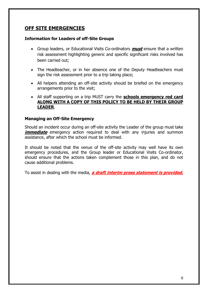# **OFF SITE EMERGENCIES**

#### **Information for Leaders of off-Site Groups**

- Group leaders, or Educational Visits Co-ordinators **must** ensure that a written risk assessment highlighting generic and specific significant risks involved has been carried out;
- The Headteacher, or in her absence one of the Deputy Headteachers must sign the risk assessment prior to a trip taking place;
- All helpers attending an off-site activity should be briefed on the emergency arrangements prior to the visit;
- All staff supporting on a trip MUST carry the **schools emergency red card ALONG WITH A COPY OF THIS POLICY TO BE HELD BY THEIR GROUP LEADER**.

#### **Managing an Off-Site Emergency**

Should an incident occur during an off-site activity the Leader of the group must take *immediate* emergency action required to deal with any injuries and summon assistance, after which the school must be informed.

It should be noted that the venue of the off-site activity may well have its own emergency procedures, and the Group leader or Educational Visits Co-ordinator, should ensure that the actions taken complement those in this plan, and do not cause additional problems.

To assist in dealing with the media, **a draft interim press statement is provided.**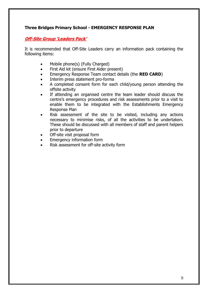## **Three Bridges Primary School - EMERGENCY RESPONSE PLAN**

## **Off-Site Group 'Leaders Pack'**

It is recommended that Off-Site Leaders carry an information pack containing the following items:

- Mobile phone(s) (Fully Charged)
- First Aid kit (ensure First Aider present)
- Emergency Response Team contact details (the **RED CARD**)
- Interim press statement pro-forma
- A completed consent form for each child/young person attending the offsite activity
- If attending an organised centre the team leader should discuss the centre's emergency procedures and risk assessments prior to a visit to enable them to be integrated with the Establishments Emergency Response Plan
- Risk assessment of the site to be visited, including any actions necessary to minimise risks, of all the activities to be undertaken. These should be discussed with all members of staff and parent helpers prior to departure
- Off-site visit proposal form
- Emergency information form
- Risk assessment for off-site activity form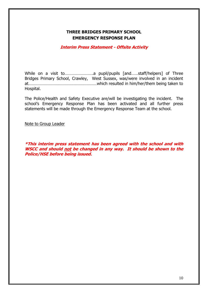## **THREE BRIDGES PRIMARY SCHOOL EMERGENCY RESPONSE PLAN**

### **Interim Press Statement - Offsite Activity**

While on a visit to…………………….a pupil/pupils [and……staff/helpers] of Three Bridges Primary School, Crawley, West Sussex, was/were involved in an incident at……………………………………………………which resulted in him/her/them being taken to Hospital.

The Police/Health and Safety Executive are/will be investigating the incident. The school's Emergency Response Plan has been activated and all further press statements will be made through the Emergency Response Team at the school.

Note to Group Leader

**\*This interim press statement has been agreed with the school and with WSCC and should not be changed in any way. It should be shown to the Police/HSE before being issued.**